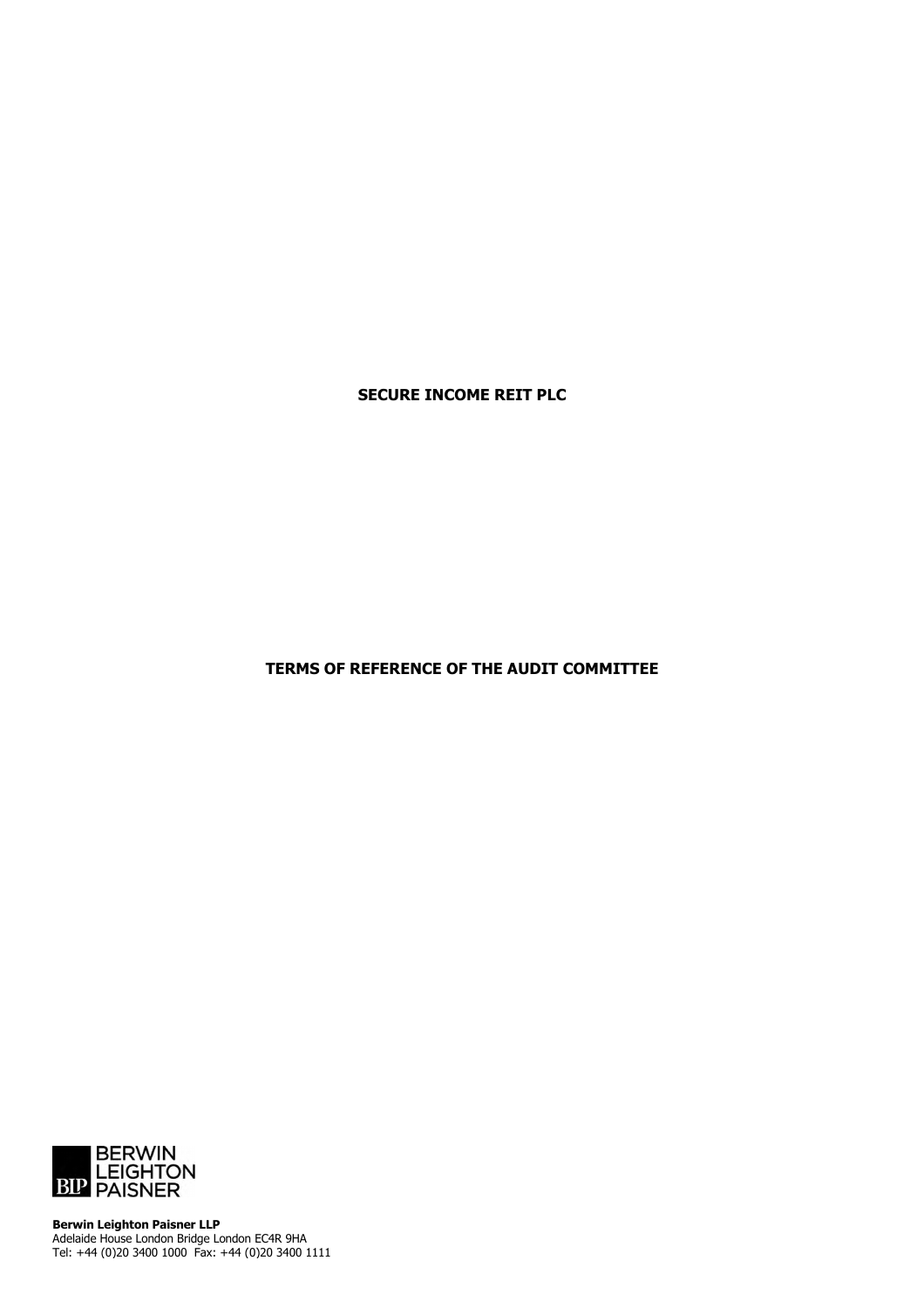**SECURE INCOME REIT PLC**

**TERMS OF REFERENCE OF THE AUDIT COMMITTEE**



**Berwin Leighton Paisner LLP** Adelaide House London Bridge London EC4R 9HA Tel: +44 (0)20 3400 1000 Fax: +44 (0)20 3400 1111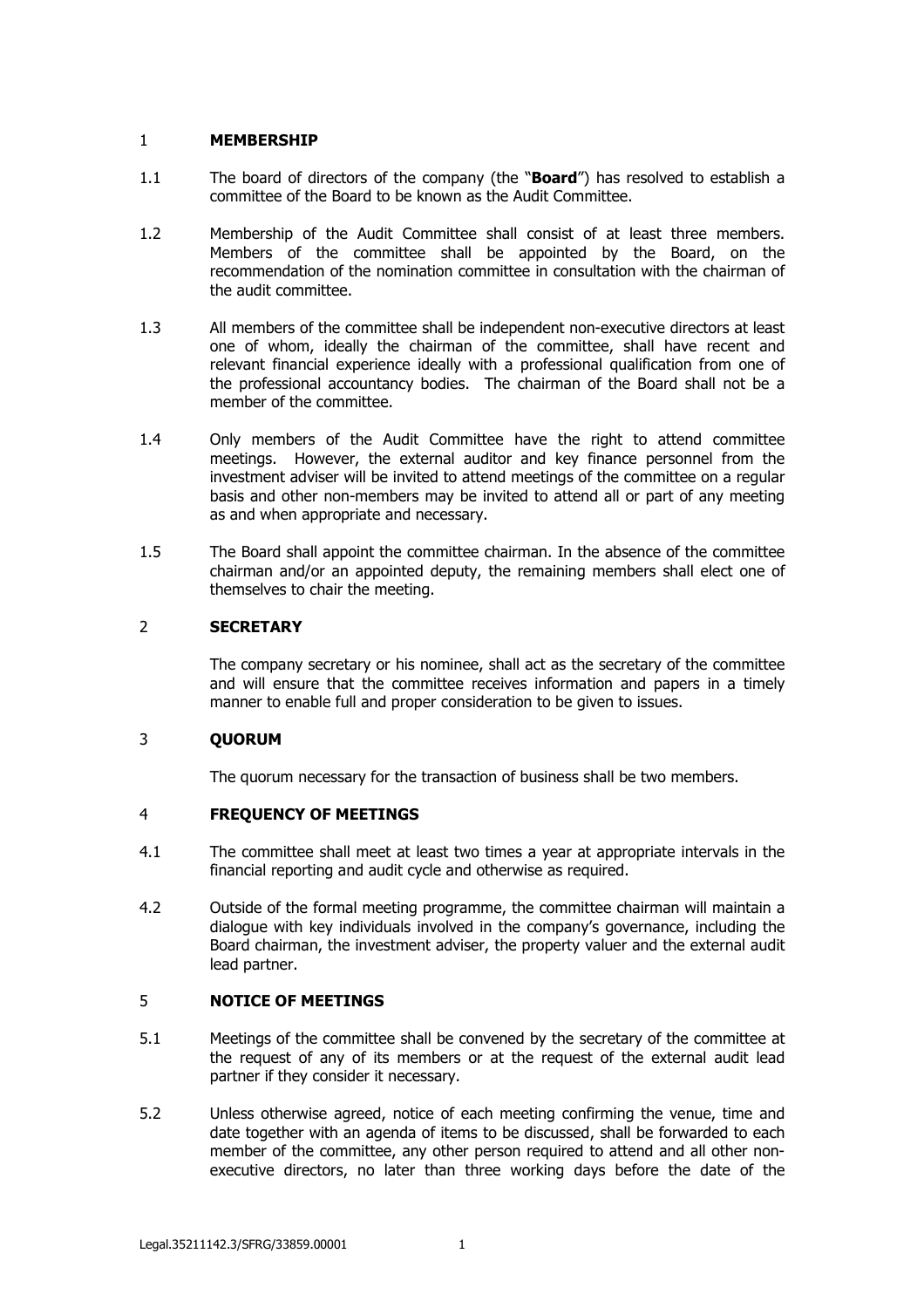# 1 **MEMBERSHIP**

- 1.1 The board of directors of the company (the "**Board**") has resolved to establish a committee of the Board to be known as the Audit Committee.
- 1.2 Membership of the Audit Committee shall consist of at least three members. Members of the committee shall be appointed by the Board, on the recommendation of the nomination committee in consultation with the chairman of the audit committee.
- 1.3 All members of the committee shall be independent non-executive directors at least one of whom, ideally the chairman of the committee, shall have recent and relevant financial experience ideally with a professional qualification from one of the professional accountancy bodies. The chairman of the Board shall not be a member of the committee.
- 1.4 Only members of the Audit Committee have the right to attend committee meetings. However, the external auditor and key finance personnel from the investment adviser will be invited to attend meetings of the committee on a regular basis and other non-members may be invited to attend all or part of any meeting as and when appropriate and necessary.
- 1.5 The Board shall appoint the committee chairman. In the absence of the committee chairman and/or an appointed deputy, the remaining members shall elect one of themselves to chair the meeting.

# 2 **SECRETARY**

The company secretary or his nominee, shall act as the secretary of the committee and will ensure that the committee receives information and papers in a timely manner to enable full and proper consideration to be given to issues.

# 3 **QUORUM**

The quorum necessary for the transaction of business shall be two members.

### 4 **FREQUENCY OF MEETINGS**

- 4.1 The committee shall meet at least two times a year at appropriate intervals in the financial reporting and audit cycle and otherwise as required.
- 4.2 Outside of the formal meeting programme, the committee chairman will maintain a dialogue with key individuals involved in the company's governance, including the Board chairman, the investment adviser, the property valuer and the external audit lead partner.

# 5 **NOTICE OF MEETINGS**

- 5.1 Meetings of the committee shall be convened by the secretary of the committee at the request of any of its members or at the request of the external audit lead partner if they consider it necessary.
- 5.2 Unless otherwise agreed, notice of each meeting confirming the venue, time and date together with an agenda of items to be discussed, shall be forwarded to each member of the committee, any other person required to attend and all other nonexecutive directors, no later than three working days before the date of the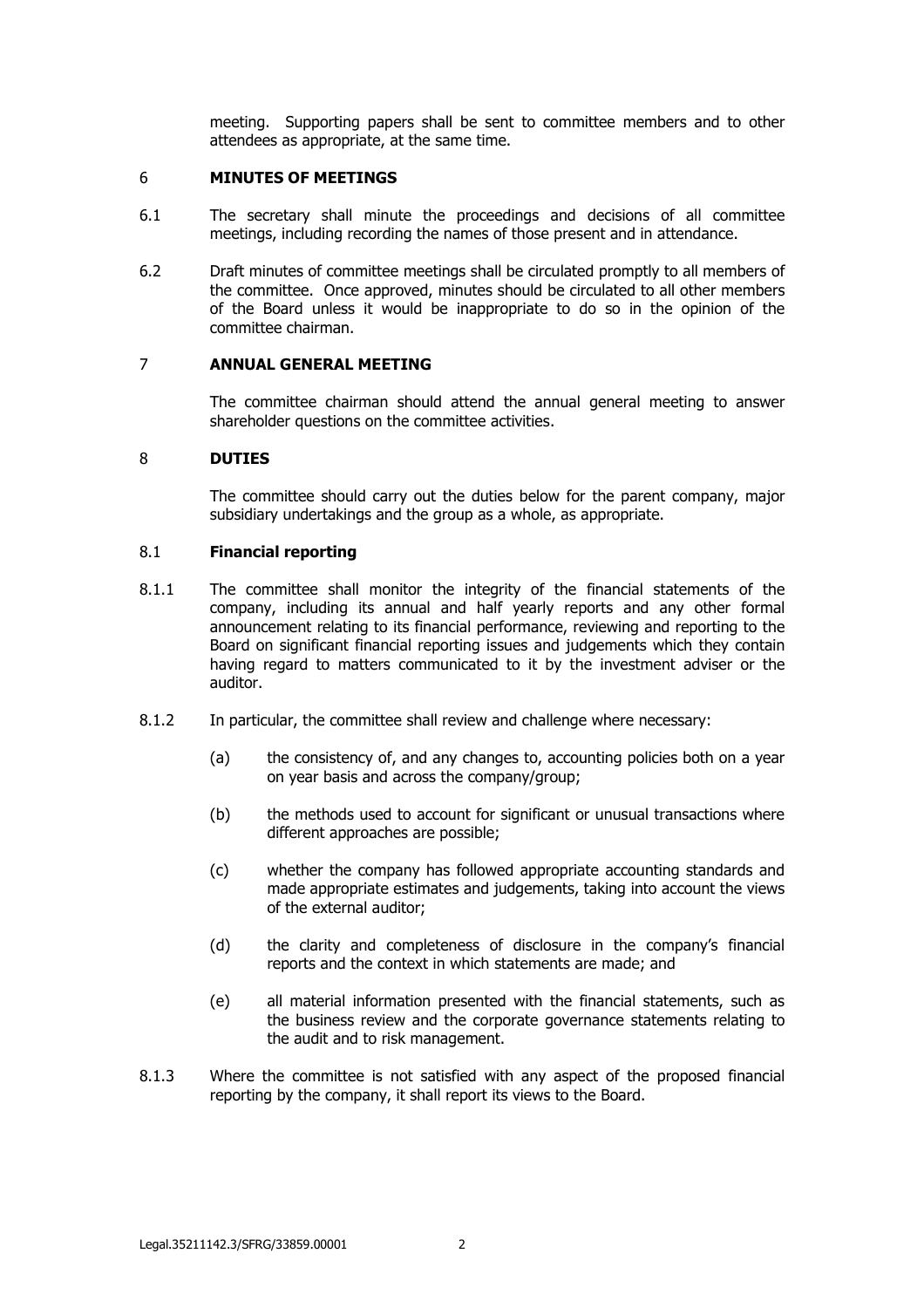meeting. Supporting papers shall be sent to committee members and to other attendees as appropriate, at the same time.

#### 6 **MINUTES OF MEETINGS**

- 6.1 The secretary shall minute the proceedings and decisions of all committee meetings, including recording the names of those present and in attendance.
- 6.2 Draft minutes of committee meetings shall be circulated promptly to all members of the committee. Once approved, minutes should be circulated to all other members of the Board unless it would be inappropriate to do so in the opinion of the committee chairman.

#### 7 **ANNUAL GENERAL MEETING**

The committee chairman should attend the annual general meeting to answer shareholder questions on the committee activities.

#### 8 **DUTIES**

The committee should carry out the duties below for the parent company, major subsidiary undertakings and the group as a whole, as appropriate.

#### 8.1 **Financial reporting**

- 8.1.1 The committee shall monitor the integrity of the financial statements of the company, including its annual and half yearly reports and any other formal announcement relating to its financial performance, reviewing and reporting to the Board on significant financial reporting issues and judgements which they contain having regard to matters communicated to it by the investment adviser or the auditor.
- 8.1.2 In particular, the committee shall review and challenge where necessary:
	- (a) the consistency of, and any changes to, accounting policies both on a year on year basis and across the company/group;
	- (b) the methods used to account for significant or unusual transactions where different approaches are possible;
	- (c) whether the company has followed appropriate accounting standards and made appropriate estimates and judgements, taking into account the views of the external auditor;
	- (d) the clarity and completeness of disclosure in the company's financial reports and the context in which statements are made; and
	- (e) all material information presented with the financial statements, such as the business review and the corporate governance statements relating to the audit and to risk management.
- 8.1.3 Where the committee is not satisfied with any aspect of the proposed financial reporting by the company, it shall report its views to the Board.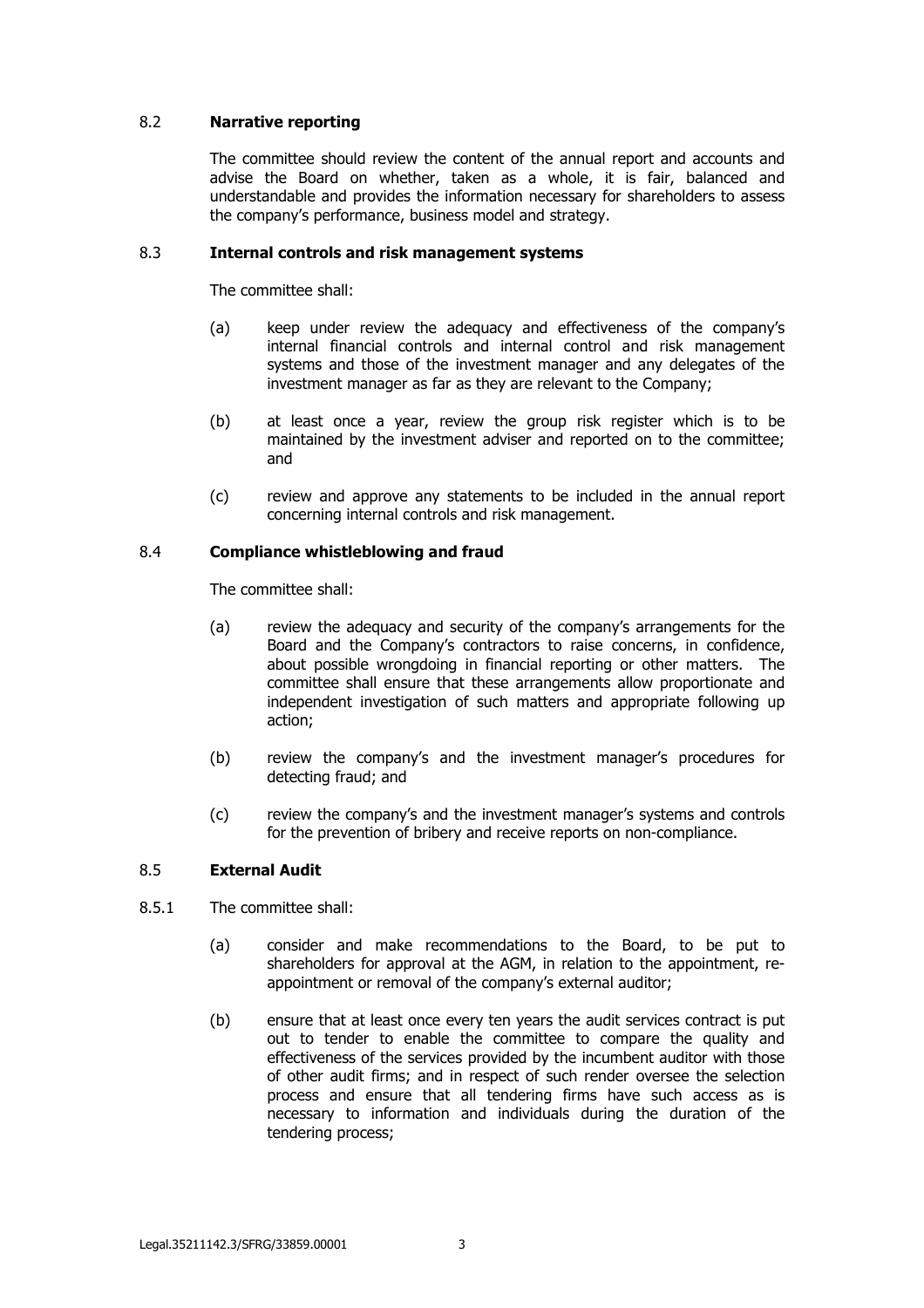# 8.2 **Narrative reporting**

The committee should review the content of the annual report and accounts and advise the Board on whether, taken as a whole, it is fair, balanced and understandable and provides the information necessary for shareholders to assess the company's performance, business model and strategy.

# 8.3 **Internal controls and risk management systems**

The committee shall:

- (a) keep under review the adequacy and effectiveness of the company's internal financial controls and internal control and risk management systems and those of the investment manager and any delegates of the investment manager as far as they are relevant to the Company;
- (b) at least once a year, review the group risk register which is to be maintained by the investment adviser and reported on to the committee; and
- (c) review and approve any statements to be included in the annual report concerning internal controls and risk management.

# 8.4 **Compliance whistleblowing and fraud**

The committee shall:

- (a) review the adequacy and security of the company's arrangements for the Board and the Company's contractors to raise concerns, in confidence, about possible wrongdoing in financial reporting or other matters. The committee shall ensure that these arrangements allow proportionate and independent investigation of such matters and appropriate following up action;
- (b) review the company's and the investment manager's procedures for detecting fraud; and
- (c) review the company's and the investment manager's systems and controls for the prevention of bribery and receive reports on non-compliance.

### 8.5 **External Audit**

- 8.5.1 The committee shall:
	- (a) consider and make recommendations to the Board, to be put to shareholders for approval at the AGM, in relation to the appointment, reappointment or removal of the company's external auditor;
	- (b) ensure that at least once every ten years the audit services contract is put out to tender to enable the committee to compare the quality and effectiveness of the services provided by the incumbent auditor with those of other audit firms; and in respect of such render oversee the selection process and ensure that all tendering firms have such access as is necessary to information and individuals during the duration of the tendering process;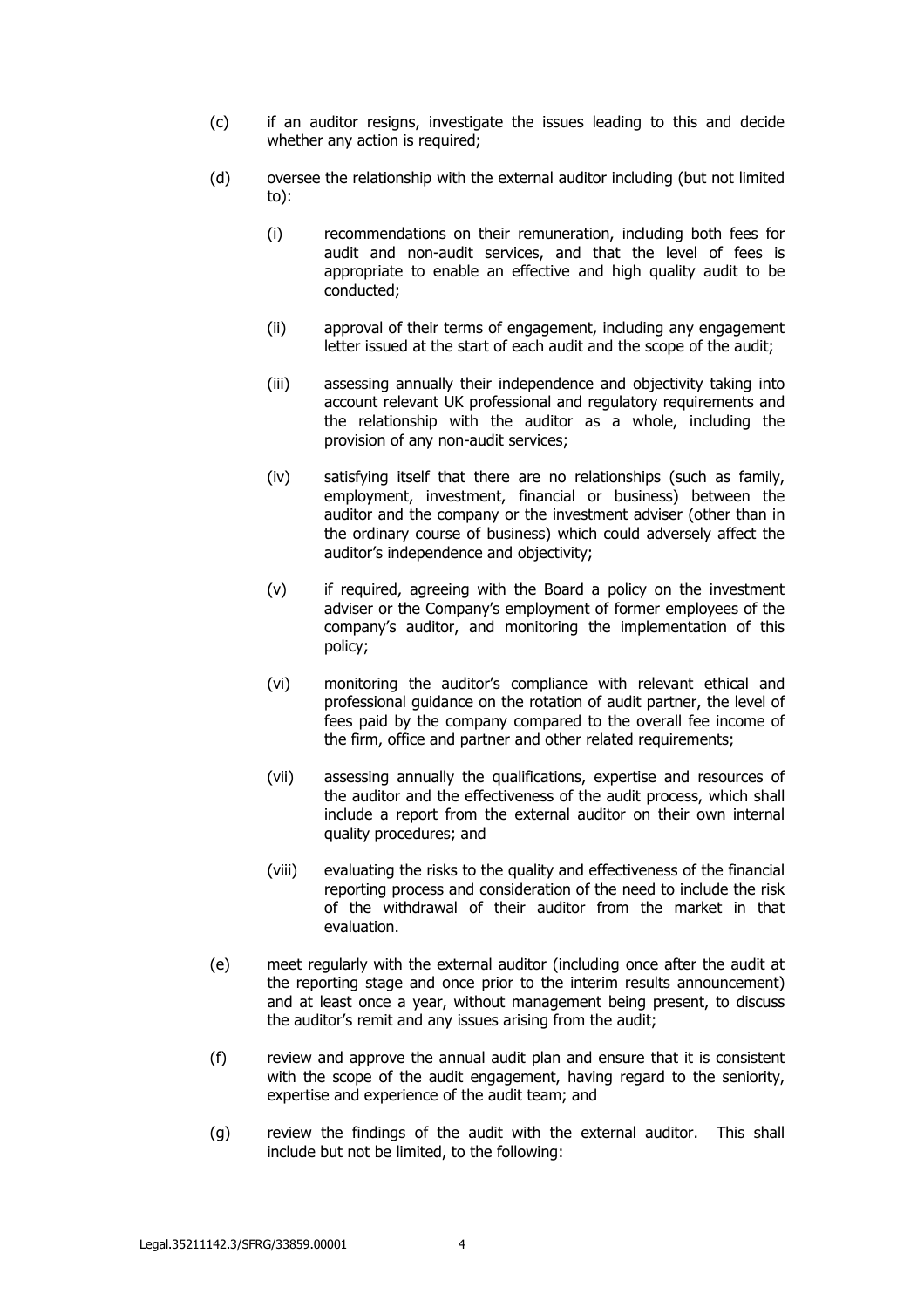- (c) if an auditor resigns, investigate the issues leading to this and decide whether any action is required:
- (d) oversee the relationship with the external auditor including (but not limited to):
	- (i) recommendations on their remuneration, including both fees for audit and non-audit services, and that the level of fees is appropriate to enable an effective and high quality audit to be conducted;
	- (ii) approval of their terms of engagement, including any engagement letter issued at the start of each audit and the scope of the audit;
	- (iii) assessing annually their independence and objectivity taking into account relevant UK professional and regulatory requirements and the relationship with the auditor as a whole, including the provision of any non-audit services;
	- (iv) satisfying itself that there are no relationships (such as family, employment, investment, financial or business) between the auditor and the company or the investment adviser (other than in the ordinary course of business) which could adversely affect the auditor's independence and objectivity;
	- (v) if required, agreeing with the Board a policy on the investment adviser or the Company's employment of former employees of the company's auditor, and monitoring the implementation of this policy;
	- (vi) monitoring the auditor's compliance with relevant ethical and professional guidance on the rotation of audit partner, the level of fees paid by the company compared to the overall fee income of the firm, office and partner and other related requirements;
	- (vii) assessing annually the qualifications, expertise and resources of the auditor and the effectiveness of the audit process, which shall include a report from the external auditor on their own internal quality procedures; and
	- (viii) evaluating the risks to the quality and effectiveness of the financial reporting process and consideration of the need to include the risk of the withdrawal of their auditor from the market in that evaluation.
- (e) meet regularly with the external auditor (including once after the audit at the reporting stage and once prior to the interim results announcement) and at least once a year, without management being present, to discuss the auditor's remit and any issues arising from the audit;
- (f) review and approve the annual audit plan and ensure that it is consistent with the scope of the audit engagement, having regard to the seniority, expertise and experience of the audit team; and
- (g) review the findings of the audit with the external auditor. This shall include but not be limited, to the following: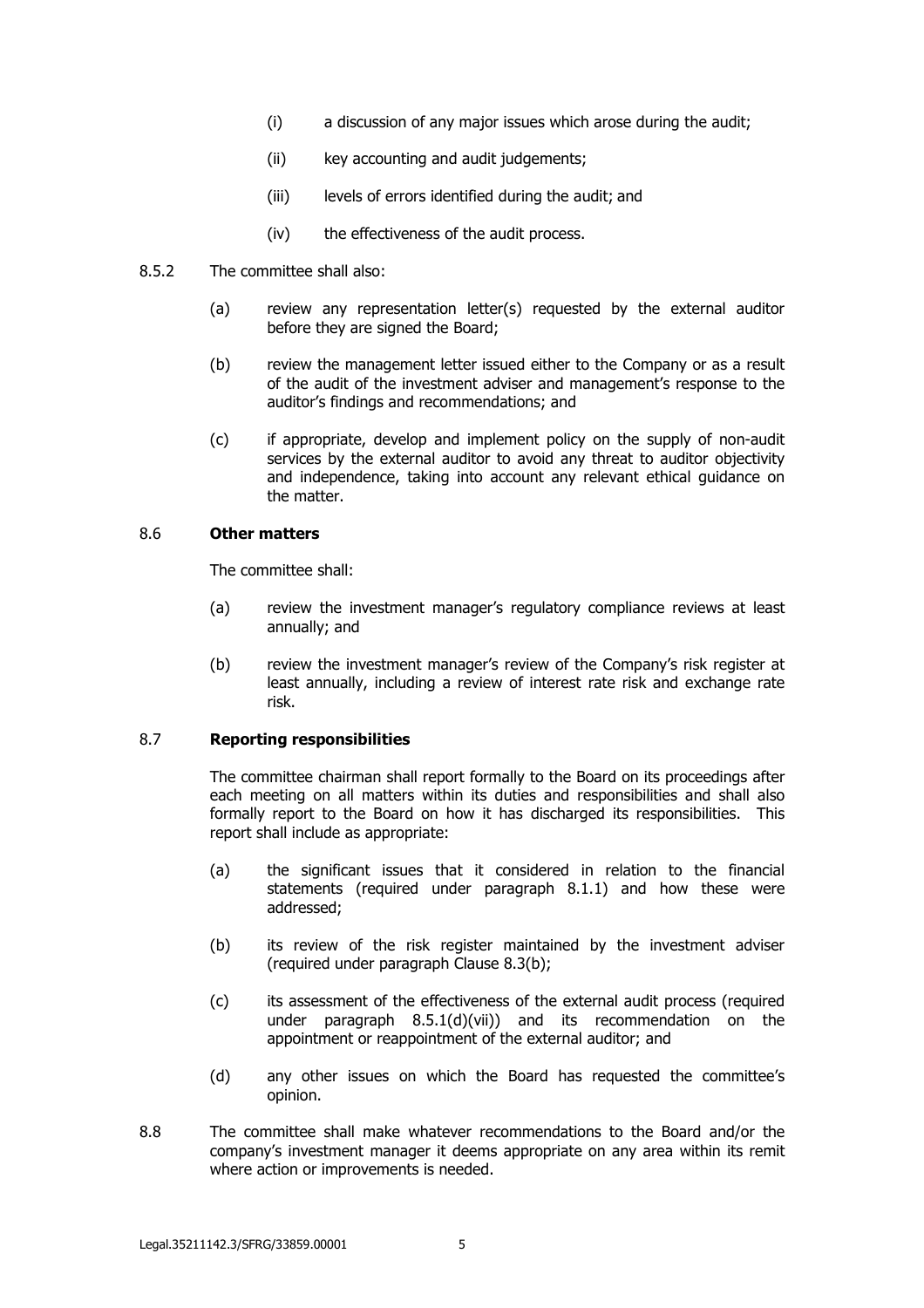- (i) a discussion of any major issues which arose during the audit;
- (ii) key accounting and audit judgements;
- (iii) levels of errors identified during the audit; and
- (iv) the effectiveness of the audit process.

#### 8.5.2 The committee shall also:

- (a) review any representation letter(s) requested by the external auditor before they are signed the Board;
- (b) review the management letter issued either to the Company or as a result of the audit of the investment adviser and management's response to the auditor's findings and recommendations; and
- (c) if appropriate, develop and implement policy on the supply of non-audit services by the external auditor to avoid any threat to auditor objectivity and independence, taking into account any relevant ethical guidance on the matter.

## 8.6 **Other matters**

The committee shall:

- (a) review the investment manager's regulatory compliance reviews at least annually; and
- (b) review the investment manager's review of the Company's risk register at least annually, including a review of interest rate risk and exchange rate risk.

## 8.7 **Reporting responsibilities**

The committee chairman shall report formally to the Board on its proceedings after each meeting on all matters within its duties and responsibilities and shall also formally report to the Board on how it has discharged its responsibilities. This report shall include as appropriate:

- (a) the significant issues that it considered in relation to the financial statements (required under paragraph 8.1.1) and how these were addressed;
- (b) its review of the risk register maintained by the investment adviser (required under paragraph Clause 8.3(b);
- (c) its assessment of the effectiveness of the external audit process (required under paragraph 8.5.1(d)(vii)) and its recommendation on the appointment or reappointment of the external auditor; and
- (d) any other issues on which the Board has requested the committee's opinion.
- 8.8 The committee shall make whatever recommendations to the Board and/or the company's investment manager it deems appropriate on any area within its remit where action or improvements is needed.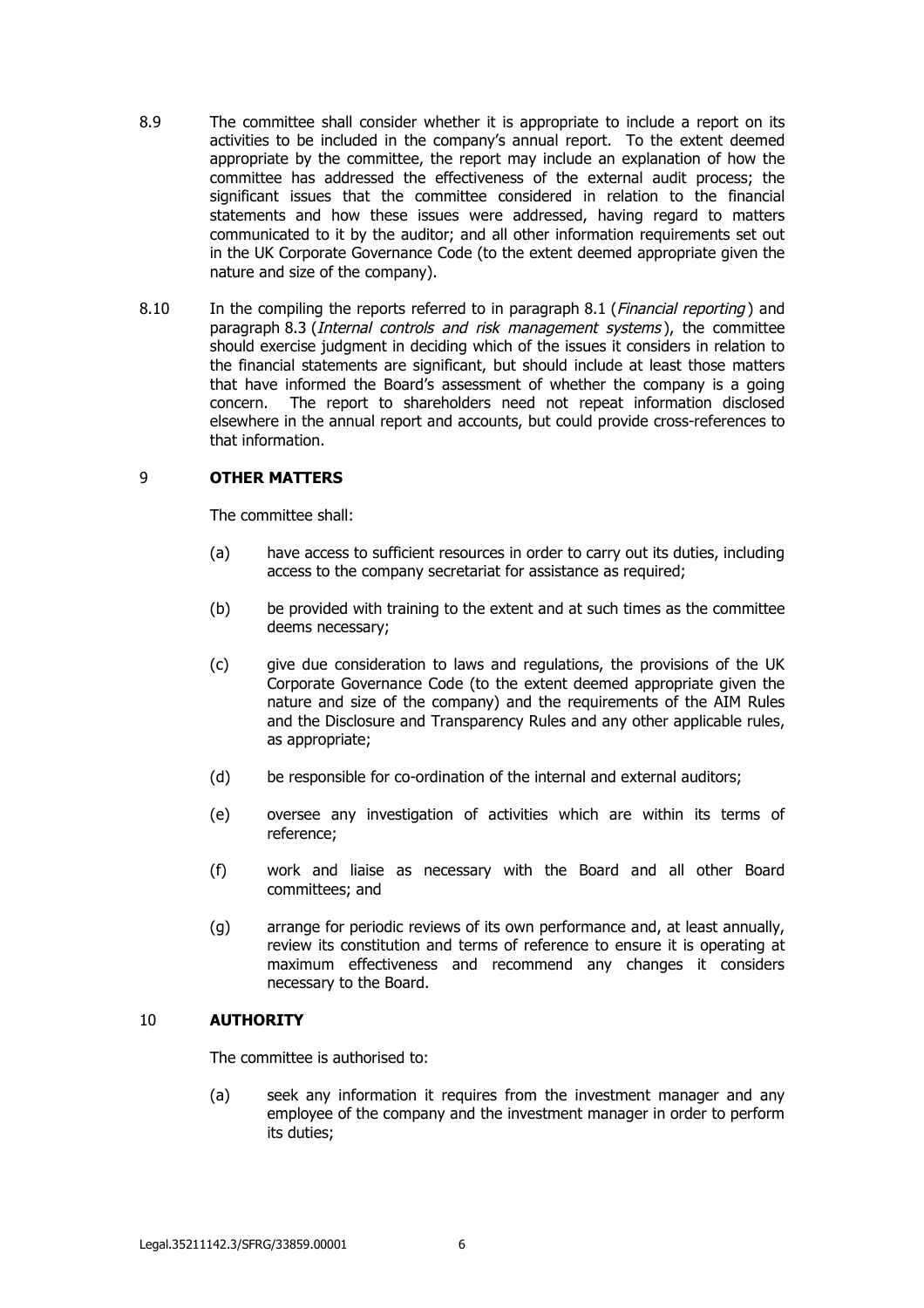- 8.9 The committee shall consider whether it is appropriate to include a report on its activities to be included in the company's annual report. To the extent deemed appropriate by the committee, the report may include an explanation of how the committee has addressed the effectiveness of the external audit process; the significant issues that the committee considered in relation to the financial statements and how these issues were addressed, having regard to matters communicated to it by the auditor; and all other information requirements set out in the UK Corporate Governance Code (to the extent deemed appropriate given the nature and size of the company).
- 8.10 In the compiling the reports referred to in paragraph 8.1 (*Financial reporting*) and paragraph 8.3 (*Internal controls and risk management systems*), the committee should exercise judgment in deciding which of the issues it considers in relation to the financial statements are significant, but should include at least those matters that have informed the Board's assessment of whether the company is a going concern. The report to shareholders need not repeat information disclosed elsewhere in the annual report and accounts, but could provide cross-references to that information.

### 9 **OTHER MATTERS**

The committee shall:

- (a) have access to sufficient resources in order to carry out its duties, including access to the company secretariat for assistance as required;
- (b) be provided with training to the extent and at such times as the committee deems necessary;
- (c) give due consideration to laws and regulations, the provisions of the UK Corporate Governance Code (to the extent deemed appropriate given the nature and size of the company) and the requirements of the AIM Rules and the Disclosure and Transparency Rules and any other applicable rules, as appropriate;
- (d) be responsible for co-ordination of the internal and external auditors;
- (e) oversee any investigation of activities which are within its terms of reference;
- (f) work and liaise as necessary with the Board and all other Board committees; and
- (g) arrange for periodic reviews of its own performance and, at least annually, review its constitution and terms of reference to ensure it is operating at maximum effectiveness and recommend any changes it considers necessary to the Board.

### 10 **AUTHORITY**

The committee is authorised to:

(a) seek any information it requires from the investment manager and any employee of the company and the investment manager in order to perform its duties;